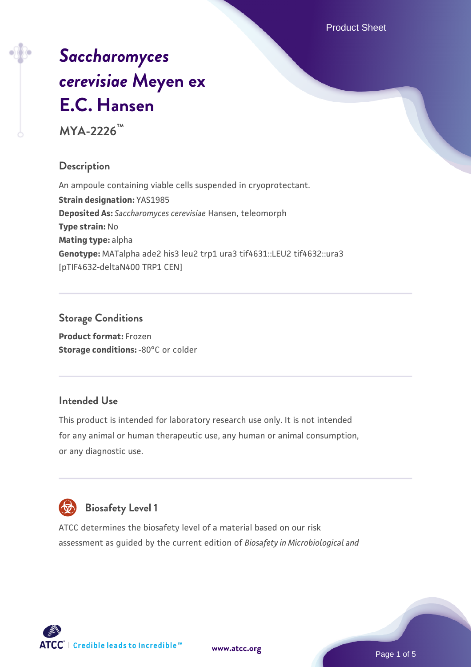Product Sheet

# *[Saccharomyces](https://www.atcc.org/products/mya-2226) [cerevisiae](https://www.atcc.org/products/mya-2226)* **[Meyen ex](https://www.atcc.org/products/mya-2226) [E.C. Hansen](https://www.atcc.org/products/mya-2226)**

**MYA-2226™**

# **Description**

An ampoule containing viable cells suspended in cryoprotectant. **Strain designation:** YAS1985 **Deposited As:** *Saccharomyces cerevisiae* Hansen, teleomorph **Type strain:** No **Mating type:** alpha **Genotype:** MATalpha ade2 his3 leu2 trp1 ura3 tif4631::LEU2 tif4632::ura3 [pTIF4632-deltaN400 TRP1 CEN]

# **Storage Conditions**

**Product format:** Frozen **Storage conditions: -80°C or colder** 

# **Intended Use**

This product is intended for laboratory research use only. It is not intended for any animal or human therapeutic use, any human or animal consumption, or any diagnostic use.



# **Biosafety Level 1**

ATCC determines the biosafety level of a material based on our risk assessment as guided by the current edition of *Biosafety in Microbiological and*

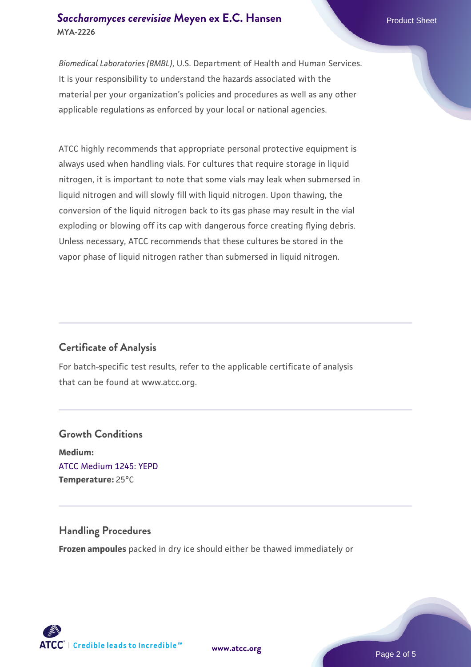#### **[Saccharomyces cerevisiae](https://www.atcc.org/products/mya-2226)** [Meyen ex E.C. Hansen](https://www.atcc.org/products/mya-2226) **MYA-2226**

*Biomedical Laboratories (BMBL)*, U.S. Department of Health and Human Services. It is your responsibility to understand the hazards associated with the material per your organization's policies and procedures as well as any other applicable regulations as enforced by your local or national agencies.

ATCC highly recommends that appropriate personal protective equipment is always used when handling vials. For cultures that require storage in liquid nitrogen, it is important to note that some vials may leak when submersed in liquid nitrogen and will slowly fill with liquid nitrogen. Upon thawing, the conversion of the liquid nitrogen back to its gas phase may result in the vial exploding or blowing off its cap with dangerous force creating flying debris. Unless necessary, ATCC recommends that these cultures be stored in the vapor phase of liquid nitrogen rather than submersed in liquid nitrogen.

# **Certificate of Analysis**

For batch-specific test results, refer to the applicable certificate of analysis that can be found at www.atcc.org.

# **Growth Conditions Medium:**  [ATCC Medium 1245: YEPD](https://www.atcc.org/-/media/product-assets/documents/microbial-media-formulations/1/2/4/5/atcc-medium-1245.pdf?rev=705ca55d1b6f490a808a965d5c072196) **Temperature:** 25°C

#### **Handling Procedures**

**Frozen ampoules** packed in dry ice should either be thawed immediately or



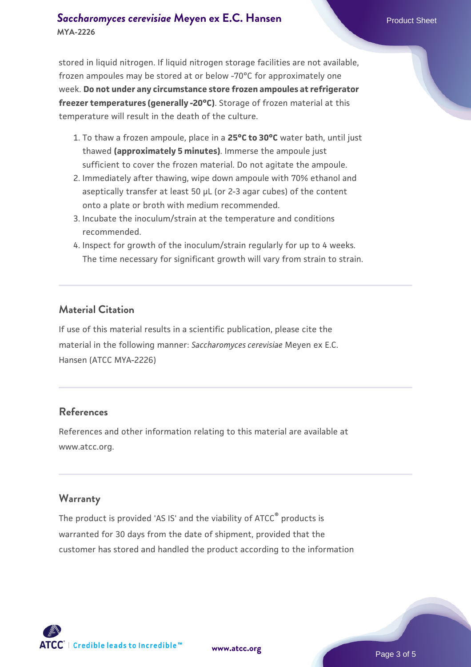## **[Saccharomyces cerevisiae](https://www.atcc.org/products/mya-2226)** [Meyen ex E.C. Hansen](https://www.atcc.org/products/mya-2226) **MYA-2226**

stored in liquid nitrogen. If liquid nitrogen storage facilities are not available, frozen ampoules may be stored at or below -70°C for approximately one week. **Do not under any circumstance store frozen ampoules at refrigerator freezer temperatures (generally -20°C)**. Storage of frozen material at this temperature will result in the death of the culture.

- 1. To thaw a frozen ampoule, place in a **25°C to 30°C** water bath, until just thawed **(approximately 5 minutes)**. Immerse the ampoule just sufficient to cover the frozen material. Do not agitate the ampoule.
- 2. Immediately after thawing, wipe down ampoule with 70% ethanol and aseptically transfer at least 50 µL (or 2-3 agar cubes) of the content onto a plate or broth with medium recommended.
- 3. Incubate the inoculum/strain at the temperature and conditions recommended.
- 4. Inspect for growth of the inoculum/strain regularly for up to 4 weeks. The time necessary for significant growth will vary from strain to strain.

#### **Material Citation**

If use of this material results in a scientific publication, please cite the material in the following manner: *Saccharomyces cerevisiae* Meyen ex E.C. Hansen (ATCC MYA-2226)

#### **References**

References and other information relating to this material are available at www.atcc.org.

#### **Warranty**

The product is provided 'AS IS' and the viability of ATCC® products is warranted for 30 days from the date of shipment, provided that the customer has stored and handled the product according to the information

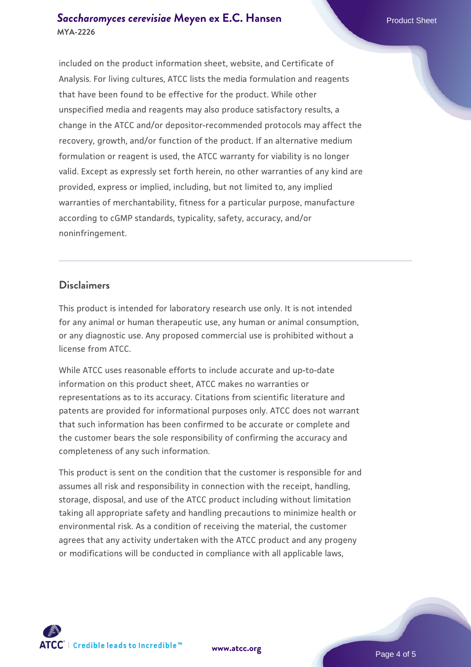#### **[Saccharomyces cerevisiae](https://www.atcc.org/products/mya-2226)** [Meyen ex E.C. Hansen](https://www.atcc.org/products/mya-2226) **MYA-2226**

included on the product information sheet, website, and Certificate of Analysis. For living cultures, ATCC lists the media formulation and reagents that have been found to be effective for the product. While other unspecified media and reagents may also produce satisfactory results, a change in the ATCC and/or depositor-recommended protocols may affect the recovery, growth, and/or function of the product. If an alternative medium formulation or reagent is used, the ATCC warranty for viability is no longer valid. Except as expressly set forth herein, no other warranties of any kind are provided, express or implied, including, but not limited to, any implied warranties of merchantability, fitness for a particular purpose, manufacture according to cGMP standards, typicality, safety, accuracy, and/or noninfringement.

#### **Disclaimers**

This product is intended for laboratory research use only. It is not intended for any animal or human therapeutic use, any human or animal consumption, or any diagnostic use. Any proposed commercial use is prohibited without a license from ATCC.

While ATCC uses reasonable efforts to include accurate and up-to-date information on this product sheet, ATCC makes no warranties or representations as to its accuracy. Citations from scientific literature and patents are provided for informational purposes only. ATCC does not warrant that such information has been confirmed to be accurate or complete and the customer bears the sole responsibility of confirming the accuracy and completeness of any such information.

This product is sent on the condition that the customer is responsible for and assumes all risk and responsibility in connection with the receipt, handling, storage, disposal, and use of the ATCC product including without limitation taking all appropriate safety and handling precautions to minimize health or environmental risk. As a condition of receiving the material, the customer agrees that any activity undertaken with the ATCC product and any progeny or modifications will be conducted in compliance with all applicable laws,



**[www.atcc.org](http://www.atcc.org)**

Page 4 of 5